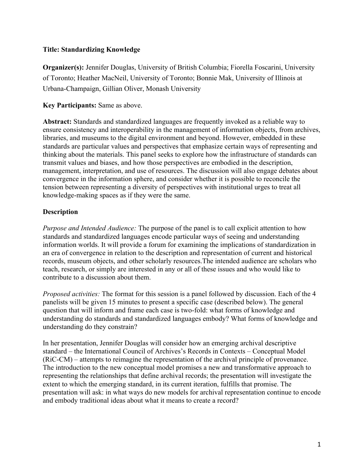## **Title: Standardizing Knowledge**

**Organizer(s):** Jennifer Douglas, University of British Columbia; Fiorella Foscarini, University of Toronto; Heather MacNeil, University of Toronto; Bonnie Mak, University of Illinois at Urbana-Champaign, Gillian Oliver, Monash University

**Key Participants:** Same as above.

**Abstract:** Standards and standardized languages are frequently invoked as a reliable way to ensure consistency and interoperability in the management of information objects, from archives, libraries, and museums to the digital environment and beyond. However, embedded in these standards are particular values and perspectives that emphasize certain ways of representing and thinking about the materials. This panel seeks to explore how the infrastructure of standards can transmit values and biases, and how those perspectives are embodied in the description, management, interpretation, and use of resources. The discussion will also engage debates about convergence in the information sphere, and consider whether it is possible to reconcile the tension between representing a diversity of perspectives with institutional urges to treat all knowledge-making spaces as if they were the same.

## **Description**

*Purpose and Intended Audience:* The purpose of the panel is to call explicit attention to how standards and standardized languages encode particular ways of seeing and understanding information worlds. It will provide a forum for examining the implications of standardization in an era of convergence in relation to the description and representation of current and historical records, museum objects, and other scholarly resources.The intended audience are scholars who teach, research, or simply are interested in any or all of these issues and who would like to contribute to a discussion about them.

*Proposed activities:* The format for this session is a panel followed by discussion. Each of the 4 panelists will be given 15 minutes to present a specific case (described below). The general question that will inform and frame each case is two-fold: what forms of knowledge and understanding do standards and standardized languages embody? What forms of knowledge and understanding do they constrain?

In her presentation, Jennifer Douglas will consider how an emerging archival descriptive standard – the International Council of Archives's Records in Contexts – Conceptual Model (RiC-CM) – attempts to reimagine the representation of the archival principle of provenance. The introduction to the new conceptual model promises a new and transformative approach to representing the relationships that define archival records; the presentation will investigate the extent to which the emerging standard, in its current iteration, fulfills that promise. The presentation will ask: in what ways do new models for archival representation continue to encode and embody traditional ideas about what it means to create a record?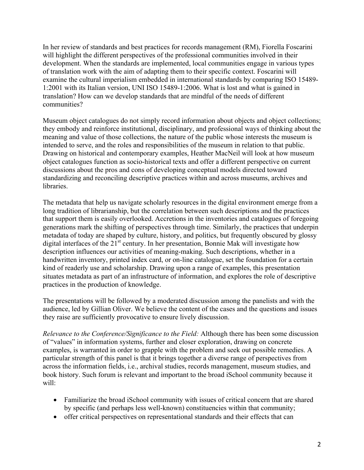In her review of standards and best practices for records management (RM), Fiorella Foscarini will highlight the different perspectives of the professional communities involved in their development. When the standards are implemented, local communities engage in various types of translation work with the aim of adapting them to their specific context. Foscarini will examine the cultural imperialism embedded in international standards by comparing ISO 15489- 1:2001 with its Italian version, UNI ISO 15489-1:2006. What is lost and what is gained in translation? How can we develop standards that are mindful of the needs of different communities?

Museum object catalogues do not simply record information about objects and object collections; they embody and reinforce institutional, disciplinary, and professional ways of thinking about the meaning and value of those collections, the nature of the public whose interests the museum is intended to serve, and the roles and responsibilities of the museum in relation to that public. Drawing on historical and contemporary examples, Heather MacNeil will look at how museum object catalogues function as socio-historical texts and offer a different perspective on current discussions about the pros and cons of developing conceptual models directed toward standardizing and reconciling descriptive practices within and across museums, archives and libraries.

The metadata that help us navigate scholarly resources in the digital environment emerge from a long tradition of librarianship, but the correlation between such descriptions and the practices that support them is easily overlooked. Accretions in the inventories and catalogues of foregoing generations mark the shifting of perspectives through time. Similarly, the practices that underpin metadata of today are shaped by culture, history, and politics, but frequently obscured by glossy digital interfaces of the  $21<sup>st</sup>$  century. In her presentation, Bonnie Mak will investigate how description influences our activities of meaning-making. Such descriptions, whether in a handwritten inventory, printed index card, or on-line catalogue, set the foundation for a certain kind of readerly use and scholarship. Drawing upon a range of examples, this presentation situates metadata as part of an infrastructure of information, and explores the role of descriptive practices in the production of knowledge.

The presentations will be followed by a moderated discussion among the panelists and with the audience, led by Gillian Oliver. We believe the content of the cases and the questions and issues they raise are sufficiently provocative to ensure lively discussion.

*Relevance to the Conference/Significance to the Field:* Although there has been some discussion of "values" in information systems, further and closer exploration, drawing on concrete examples, is warranted in order to grapple with the problem and seek out possible remedies. A particular strength of this panel is that it brings together a diverse range of perspectives from across the information fields, i.e., archival studies, records management, museum studies, and book history. Such forum is relevant and important to the broad iSchool community because it will:

- Familiarize the broad iSchool community with issues of critical concern that are shared by specific (and perhaps less well-known) constituencies within that community;
- offer critical perspectives on representational standards and their effects that can